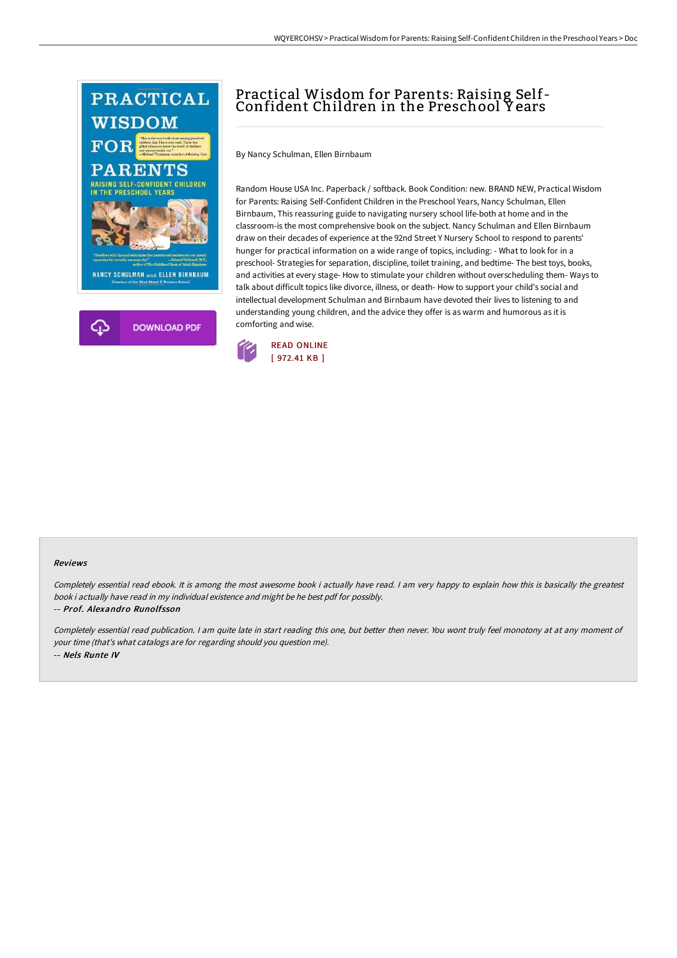

## Practical Wisdom for Parents: Raising Self-Confident Children in the Preschool Y ears

By Nancy Schulman, Ellen Birnbaum

Random House USA Inc. Paperback / softback. Book Condition: new. BRAND NEW, Practical Wisdom for Parents: Raising Self-Confident Children in the Preschool Years, Nancy Schulman, Ellen Birnbaum, This reassuring guide to navigating nursery school life-both at home and in the classroom-is the most comprehensive book on the subject. Nancy Schulman and Ellen Birnbaum draw on their decades of experience at the 92nd Street Y Nursery School to respond to parents' hunger for practical information on a wide range of topics, including: - What to look for in a preschool- Strategies for separation, discipline, toilet training, and bedtime- The best toys, books, and activities at every stage- How to stimulate your children without overscheduling them- Ways to talk about difficult topics like divorce, illness, or death- How to support your child's social and intellectual development Schulman and Birnbaum have devoted their lives to listening to and understanding young children, and the advice they offer is as warm and humorous as it is comforting and wise.



## Reviews

Completely essential read ebook. It is among the most awesome book i actually have read. I am very happy to explain how this is basically the greatest book i actually have read in my individual existence and might be he best pdf for possibly. -- Prof. Alexandro Runolfsson

Completely essential read publication. <sup>I</sup> am quite late in start reading this one, but better then never. You wont truly feel monotony at at any moment of your time (that's what catalogs are for regarding should you question me). -- Nels Runte IV